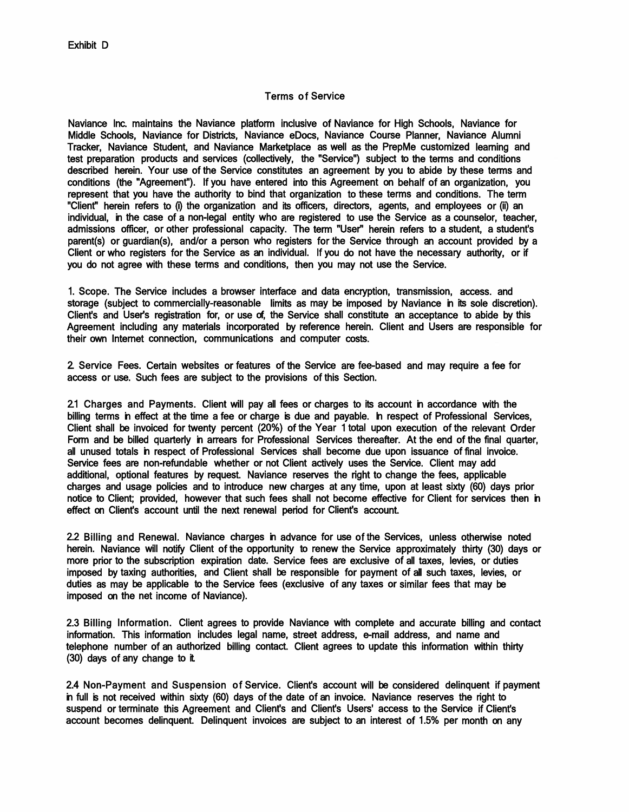## Terms of Service

Naviance Inc. maintains the Naviance platform inclusive of Naviance for High Schools, Naviance for Middle Schools, Naviance for Districts, Naviance eDocs, Naviance Course Planner, Naviance Alumni Tracker, Naviance Student, and Naviance Marketplace as well as the PrepMe customized learning and test preparation products and services (collectively, the "Service") subject to the terms and conditions described herein. Your use of the Service constitutes an agreement by you to abide by these terms and conditions (the "Agreement"). If you have entered into this Agreement on behalf of an organization, you represent that you have the authority to bind that organization to these terms and conditions. The term "Client" herein refers to (i) the organization and its officers, directors, agents, and employees or (ii) an individual, in the case of a non-legal entity who are registered to use the Service as a counselor, teacher, admissions officer, or other professional capacity. The term "User'' herein refers to a student, a student's parent(s) or guardian(s), and/or a person who registers for the Service through an account provided by a Client or who registers for the Service as an individual. If you do not have the necessary authority, or if you do not agree with these terms and conditions, then you may not use the Service.

1. Scope. The Service includes a browser interface and data encryption, transmission, access. and storage (subject to commercially-reasonable limits as may be imposed by Naviance in its sole discretion). Client's and User's registration for, or use of, the Service shall constitute an acceptance to abide by this Agreement including any materials incorporated by reference herein. Client and Users are responsible for their own Internet connection, communications and computer costs.

2. Service Fees. Certain websites or features of the Service are fee-based and may require a fee for access or use. Such fees are subject to the provisions of this Section.

2.1 Charges and Payments. Client will pay all fees or charges to its account in accordance with the billing terms in effect at the time a fee or charge is due and payable. In respect of Professional Services, Client shall be invoiced for twenty percent (20%) of the Year 1 total upon execution of the relevant Order Form and be billed quarterly in arrears for Professional Services thereafter. At the end of the final quarter, all unused totals in respect of Professional Services shall become due upon issuance of final invoice. Service fees are non-refundable whether or not Client actively uses the Service. Client may add additional, optional features by request. Naviance reserves the right to change the fees, applicable charges and usage policies and to introduce new charges at any time, upon at least sixty (60) days prior notice to Client; provided, however that such fees shall not become effective for Client for services then in effect on Client's account until the next renewal period for Client's account.

2.2 Billing and Renewal. Naviance charges in advance for use of the Services, unless otherwise noted herein. Naviance will notify Client of the opportunity to renew the Service approximately thirty (30) days or more prior to the subscription expiration date. Service fees are exclusive of all taxes, levies, or duties imposed by taxing authorities, and Client shall be responsible for payment of all such taxes, levies, or duties as may be applicable to the Service fees (exclusive of any taxes or similar fees that may be imposed on the net income of Naviance).

2.3 Billing Information. Client agrees to provide Naviance with complete and accurate billing and contact information. This information includes legal name, street address, e-mail address, and name and telephone number of an authorized billing contact. Client agrees to update this information within thirty (30) days of any change to it.

2.4 Non-Payment and Suspension of Service. Client's account will be considered delinquent if payment in full is not received within sixty (60) days of the date of an invoice. Naviance reserves the right to suspend or terminate this Agreement and Client's and Client's Users' access to the Service if Client's account becomes delinquent. Delinquent invoices are subject to an interest of 1.5% per month on any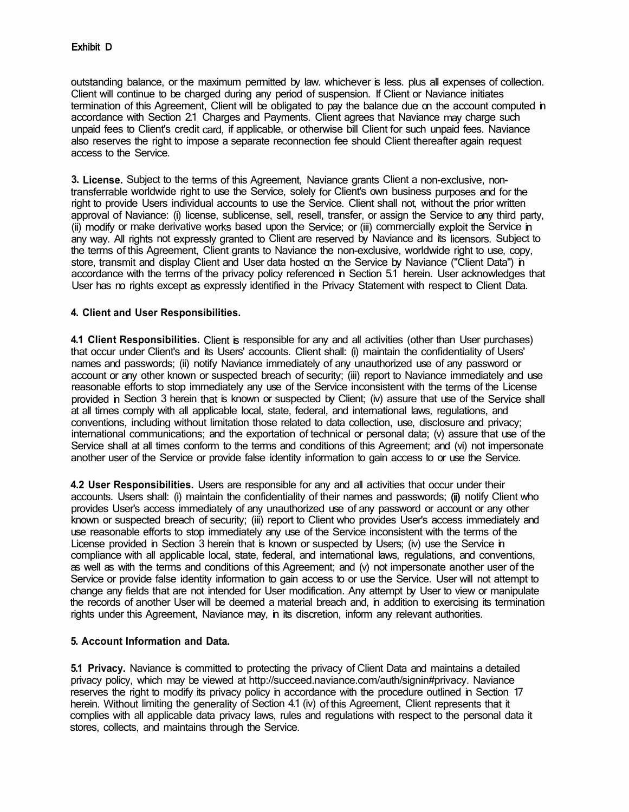outstanding balance, or the maximum permitted by law. whichever is less. plus all expenses of collection. Client will continue to be charged during any period of suspension. If Client or Naviance initiates termination of this Agreement, Client will be obligated to pay the balance due on the account computed in accordance with Section 2.1 Charges and Payments. Client agrees that Naviance may charge such unpaid fees to Client's credit card, if applicable, or otherwise bill Client for such unpaid fees. Naviance also reserves the right to impose a separate reconnection fee should Client thereafter again request access to the Service.

**3. License.** Subject to the terms of this Agreement, Naviance grants Client a non-exclusive, nontransferrable worldwide right to use the Service, solely for Client's own business purposes and for the right to provide Users individual accounts to use the Service. Client shall not, without the prior written approval of Naviance: (i) license, sublicense, sell, resell, transfer, or assign the Service to any third party, (ii) modify or make derivative works based upon the Service; or (iii) commercially exploit the Service in any way. All rights not expressly granted to Client are reserved by Naviance and its licensors. Subject to the terms of this Agreement, Client grants to Naviance the non-exclusive, worldwide right to use, copy, store, transmit and display Client and User data hosted on the Service by Naviance ("Client Data") in accordance with the terms of the privacy policy referenced in Section 5.1 herein. User acknowledges that User has no rights except as expressly identified in the Privacy Statement with respect to Client Data.

# **4. Client and User Responsibilities.**

**4.1 Client Responsibilities.** Client is responsible for any and all activities (other than User purchases) that occur under Client's and its Users' accounts. Client shall: (i) maintain the confidentiality of Users' names and passwords; (ii) notify Naviance immediately of any unauthorized use of any password or account or any other known or suspected breach of security; (iii) report to Naviance immediately and use reasonable efforts to stop immediately any use of the Service inconsistent with the terms of the License provided in Section 3 herein that is known or suspected by Client; (iv) assure that use of the Service shall at all times comply with all applicable local, state, federal, and international laws, regulations, and conventions, including without limitation those related to data collection, use, disclosure and privacy; international communications; and the exportation of technical or personal data; (v) assure that use of the Service shall at all times conform to the terms and conditions of this Agreement; and (vi) not impersonate another user of the Service or provide false identity information to gain access to or use the Service.

**4.2 User Responsibilities.** Users are responsible for any and all activities that occur under their accounts. Users shall: (i) maintain the confidentiality of their names and passwords; (ii) notify Client who provides User's access immediately of any unauthorized use of any password or account or any other known or suspected breach of security; (iii) report to Client who provides User's access immediately and use reasonable efforts to stop immediately any use of the Service inconsistent with the terms of the License provided in Section 3 herein that is known or suspected by Users; (iv) use the Service in compliance with all applicable local, state, federal, and international laws, regulations, and conventions, as well as with the terms and conditions of this Agreement; and (v) not impersonate another user of the Service or provide false identity information to gain access to or use the Service. User will not attempt to change any fields that are not intended for User modification. Any attempt by User to view or manipulate the records of another User will be deemed a material breach and, in addition to exercising its termination rights under this Agreement, Naviance may, in its discretion, inform any relevant authorities.

### **5. Account Information and Data.**

**5.1 Privacy.** Naviance is committed to protecting the privacy of Client Data and maintains a detailed privacy policy, which may be viewed at http://succeed.naviance.com/auth/signin#privacy. Naviance reserves the right to modify its privacy policy in accordance with the procedure outlined in Section 17 herein. Without limiting the generality of Section 4.1 (iv) of this Agreement, Client represents that it complies with all applicable data privacy laws, rules and regulations with respect to the personal data it stores, collects, and maintains through the Service.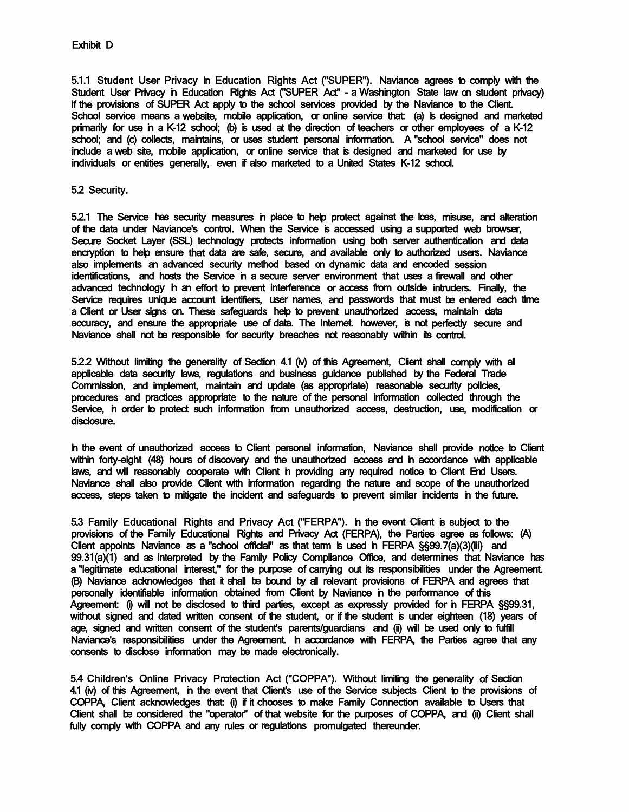5.1.1 Student User Privacy in Education Rights Act ("SUPER"). Naviance agrees to comply with the Student User Privacy in Education Rights Act ("SUPER Act" - a Washington State law on student privacy) if the provisions of SUPER Act apply to the school services provided by the Naviance to the Client. School service means a website, mobile application, or online service that: (a) is designed and marketed primarily for use in a K-12 school; (b) is used at the direction of teachers or other employees of a K-12 school; and (c) collects, maintains, or uses student personal information. A "school service" does not include a web site, mobile application, or online service that is designed and marketed for use by individuals or entities generally, even if also marketed to a United States K-12 school.

#### 5.2 Security.

5.2.1 The Service has security measures in place to help protect against the loss, misuse, and alteration of the data under Naviance's control. When the Service is accessed using a supported web browser, Secure Socket Layer (SSL) technology protects information using both server authentication and data encryption to help ensure that data are safe, secure, and available only to authorized users. Naviance also implements an advanced security method based on dynamic data and encoded session identifications, and hosts the Service in a secure server environment that uses a firewall and other advanced technology in an effort to prevent interference or access from outside intruders. Finally, the Service requires unique account identifiers, user names, and passwords that must be entered each time a Client or User signs on. These safeguards help to prevent unauthorized access, maintain data accuracy, and ensure the appropriate use of data. The Internet. however, is not perfectly secure and Naviance shall not be responsible for security breaches not reasonably within its control.

5.2.2 Without limiting the generality of Section 4.1 (iv) of this Agreement, Client shall comply with all applicable data security laws, regulations and business guidance published by the Federal Trade Commission, and implement, maintain and update (as appropriate) reasonable security policies, procedures and practices appropriate to the nature of the personal information collected through the Service, in order to protect such information from unauthorized access, destruction, use, modification or disclosure.

In the event of unauthorized access to Client personal information, Naviance shall provide notice to Client within forty-eight (48) hours of discovery and the unauthorized access and in accordance with applicable laws, and will reasonably cooperate with Client in providing any required notice to Client End Users. Naviance shall also provide Client with information regarding the nature and scope of the unauthorized access, steps taken to mitigate the incident and safeguards to prevent similar incidents in the future.

5.3 Family Educational Rights and Privacy Act ("FERPA"). In the event Client is subject to the provisions of the Family Educational Rights and Privacy Act (FERPA), the Parties agree as follows: (A) Client appoints Naviance as a "school official" as that term is used in FERPA §§99.7(a)(3)(iii) and 99.31(a)(1) and as interpreted by the Family Policy Compliance Office, and determines that Naviance has a "legitimate educational interest," for the purpose of carrying out its responsibilities under the Agreement. (B) Naviance acknowledges that it shall be bound by all relevant provisions of FERPA and agrees that personally identifiable information obtained from Client by Naviance in the performance of this Agreement: (i) will not be disclosed to third parties, except as expressly provided for in FERPA §§99.31, without signed and dated written consent of the student, or if the student is under eighteen (18) years of age, signed and written consent of the student's parents/guardians and (ii) will be used only to fulfill Naviance's responsibilities under the Agreement. In accordance with FERPA, the Parties agree that any consents to disclose information may be made electronically.

5.4 Children's Online Privacy Protection Act ("COPPA"). Without limiting the generality of Section 4.1 (iv) of this Agreement, in the event that Client's use of the Service subjects Client to the provisions of COPPA, Client acknowledges that: (i) if it chooses to make Family Connection available to Users that Client shall be considered the "operator'' of that website for the purposes of COPPA, and (ii) Client shall fully comply with COPPA and any rules or regulations promulgated thereunder.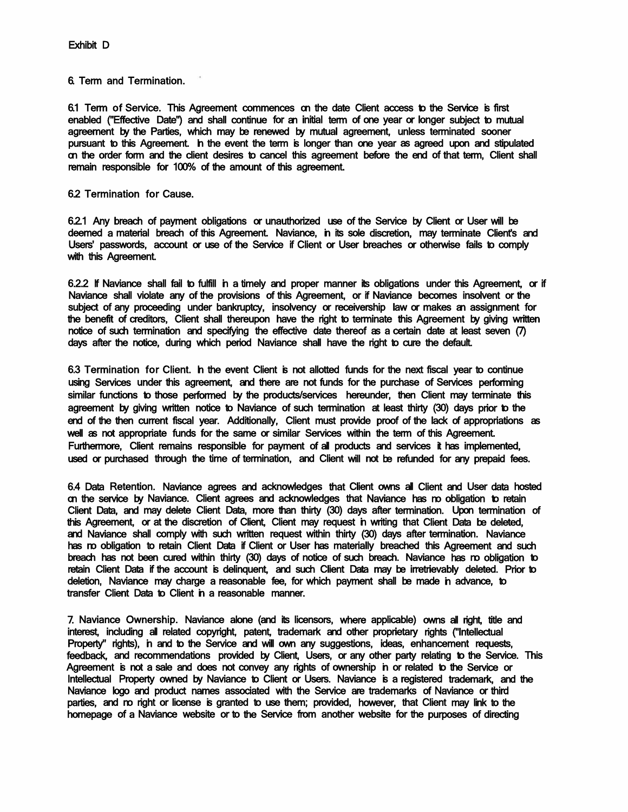6. Term and Termination.

6.1 Term of Service. This Agreement commences on the date Client access to the Service is first enabled ("Effective Date") and shall continue for an initial term of one year or longer subject to mutual agreement by the Parties, which may be renewed by mutual agreement, unless terminated sooner pursuant to this Agreement. In the event the term is longer than one year as agreed upon and stipulated on the order form and the client desires to cancel this agreement before the end of that term, Client shall remain responsible for 100% of the amount of this agreement.

6.2 Termination for Cause.

6.2.1 Any breach of payment obligations or unauthorized use of the Service by Client or User will be deemed a material breach of this Agreement. Naviance, in its sole discretion, may terminate Client's and Users' passwords, account or use of the Service if Client or User breaches or otherwise fails to comply with this Agreement.

6.2.2 If Naviance shall fail to fulfill in a timely and proper manner its obligations under this Agreement, or if Naviance shall violate any of the provisions of this Agreement, or if Naviance becomes insolvent or the subject of any proceeding under bankruptcy, insolvency or receivership law or makes an assignment for the benefit of creditors, Client shall thereupon have the right to terminate this Agreement by giving written notice of such termination and specifying the effective date thereof as a certain date at least seven (7) days after the notice, during which period Naviance shall have the right to cure the default.

6.3 Termination for Client. In the event Client is not allotted funds for the next fiscal year to continue using Services under this agreement, and there are not funds for the purchase of Services performing similar functions to those performed by the products/services hereunder, then Client may terminate this agreement by giving written notice to Naviance of such termination at least thirty (30) days prior to the end of the then current fiscal year. Additionally, Client must provide proof of the lack of appropriations as well as not appropriate funds for the same or similar Services within the term of this Agreement. Furthermore, Client remains responsible for payment of all products and services it has implemented, used or purchased through the time of termination, and Client will not be refunded for any prepaid fees.

6.4 Data Retention. Naviance agrees and acknowledges that Client owns all Client and User data hosted on the service by Naviance. Client agrees and acknowledges that Naviance has no obligation to retain Client Data, and may delete Client Data, more than thirty (30) days after termination. Upon termination of this Agreement, or at the discretion of Client, Client may request in writing that Client Data be deleted, and Naviance shall comply with such written request within thirty (30) days after termination. Naviance has no obligation to retain Client Data if Client or User has materially breached this Agreement and such breach has not been cured within thirty (30) days of notice of such breach. Naviance has no obligation to retain Client Data if the account is delinquent, and such Client Data may be irretrievably deleted. Prior to deletion, Naviance may charge a reasonable fee, for which payment shall be made in advance, to transfer Client Data to Client in a reasonable manner.

7. Naviance Ownership. Naviance alone (and its licensors, where applicable) owns all right, title and interest, including all related copyright, patent, trademark and other proprietary rights ("Intellectual Property" rights), in and to the Service and will own any suggestions, ideas, enhancement requests, feedback, and recommendations provided by Client, Users, or any other party relating to the Service. This Agreement is not a sale and does not convey any rights of ownership in or related to the Service or Intellectual Property owned by Naviance to Client or Users. Naviance is a registered trademark, and the Naviance logo and product names associated with the Service are trademarks of Naviance or third parties, and no right or license is granted to use them; provided, however, that Client may link to the homepage of a Naviance website or to the Service from another website for the purposes of directing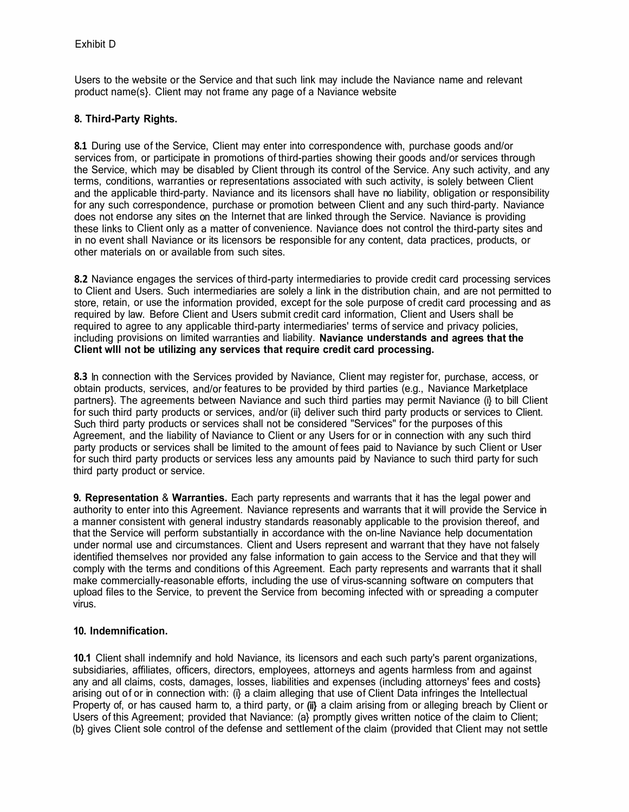Users to the website or the Service and that such link may include the Naviance name and relevant product name(s}. Client may not frame any page of a Naviance website

# **8. Third-Party Rights.**

**8.1** During use of the Service, Client may enter into correspondence with, purchase goods and/or services from, or participate in promotions of third-parties showing their goods and/or services through the Service, which may be disabled by Client through its control of the Service. Any such activity, and any terms, conditions, warranties or representations associated with such activity, is solely between Client and the applicable third-party. Naviance and its licensors shall have no liability, obligation or responsibility for any such correspondence, purchase or promotion between Client and any such third-party. Naviance does not endorse any sites on the Internet that are linked through the Service. Naviance is providing these links to Client only as a matter of convenience. Naviance does not control the third-party sites and in no event shall Naviance or its licensors be responsible for any content, data practices, products, or other materials on or available from such sites.

**8.2** Naviance engages the services of third-party intermediaries to provide credit card processing services to Client and Users. Such intermediaries are solely a link in the distribution chain, and are not permitted to store, retain, or use the information provided, except for the sole purpose of credit card processing and as required by law. Before Client and Users submit credit card information, Client and Users shall be required to agree to any applicable third-party intermediaries' terms of service and privacy policies, including provisions on limited warranties and liability. **Naviance understands and agrees that the Client wlll not be utilizing any services that require credit card processing.** 

**8.3** In connection with the Services provided by Naviance, Client may register for, purchase, access, or obtain products, services, and/or features to be provided by third parties (e.g., Naviance Marketplace partners}. The agreements between Naviance and such third parties may permit Naviance (i} to bill Client for such third party products or services, and/or (ii} deliver such third party products or services to Client. Such third party products or services shall not be considered "Services" for the purposes of this Agreement, and the liability of Naviance to Client or any Users for or in connection with any such third party products or services shall be limited to the amount of fees paid to Naviance by such Client or User for such third party products or services less any amounts paid by Naviance to such third party for such third party product or service.

**9. Representation** & **Warranties.** Each party represents and warrants that it has the legal power and authority to enter into this Agreement. Naviance represents and warrants that it will provide the Service in a manner consistent with general industry standards reasonably applicable to the provision thereof, and that the Service will perform substantially in accordance with the on-line Naviance help documentation under normal use and circumstances. Client and Users represent and warrant that they have not falsely identified themselves nor provided any false information to gain access to the Service and that they will comply with the terms and conditions of this Agreement. Each party represents and warrants that it shall make commercially-reasonable efforts, including the use of virus-scanning software on computers that upload files to the Service, to prevent the Service from becoming infected with or spreading a computer virus.

## **10. Indemnification.**

**10.1** Client shall indemnify and hold Naviance, its licensors and each such party's parent organizations, subsidiaries, affiliates, officers, directors, employees, attorneys and agents harmless from and against any and all claims, costs, damages, losses, liabilities and expenses (including attorneys' fees and costs} arising out of or in connection with: (i} a claim alleging that use of Client Data infringes the Intellectual Property of, or has caused harm to, a third party, or (ii) a claim arising from or alleging breach by Client or Users of this Agreement; provided that Naviance: (a) promptly gives written notice of the claim to Client; (b} gives Client sole control of the defense and settlement of the claim (provided that Client may not settle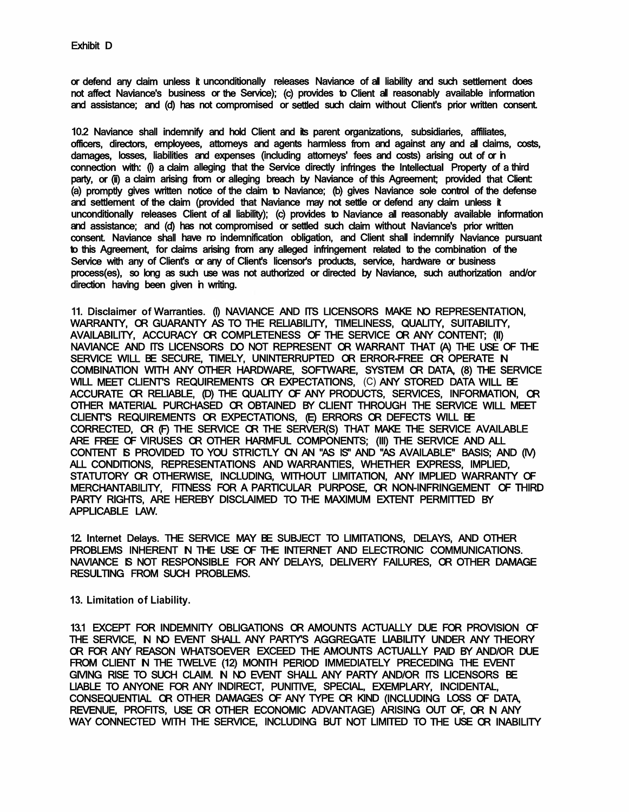or defend any claim unless it unconditionally releases Naviance of all liability and such settlement does not affect Naviance's business or the Service); (c) provides to Client all reasonably available information and assistance; and (d) has not compromised or settled such claim without Client's prior written consent.

10.2 Naviance shall indemnify and hold Client and its parent organizations, subsidiaries, affiliates, officers, directors, employees, attorneys and agents harmless from and against any and all claims, costs, damages, losses, liabilities and expenses (including attorneys' fees and costs) arising out of or in connection with: (i) a claim alleging that the Service directly infringes the Intellectual Property of a third party, or (ii) a claim arising from or alleging breach by Naviance of this Agreement; provided that Client: (a) promptly gives written notice of the claim to Naviance; (b) gives Naviance sole control of the defense and settlement of the claim (provided that Naviance may not settle or defend any claim unless it unconditionally releases Client of all liability); (c) provides to Naviance all reasonably available information and assistance; and (d) has not compromised or settled such claim without Naviance's prior written consent. Naviance shall have no indemnification obligation, and Client shall indemnify Naviance pursuant to this Agreement, for claims arising from any alleged infringement related to the combination of the Service with any of Client's or any of Client's licensor's products, service, hardware or business process(es), so long as such use was not authorized or directed by Naviance, such authorization and/or direction having been given in writing.

11. Disclaimer of Warranties. (I) NAVIANCE AND ITS LICENSORS MAKE NO REPRESENTATION, WARRANTY, OR GUARANTY AS TO THE RELIABILITY, TIMELINESS, QUALITY, SUITABILITY, AVAILABILITY, ACCURACY OR COMPLETENESS OF THE SERVICE OR ANY CONTENT; (II) NAVIANCE AND ITS LICENSORS DO NOT REPRESENT OR WARRANT THAT (A) THE USE OF THE SERVICE WILL BE SECURE, TIMELY, UNINTERRUPTED OR ERROR-FREE OR OPERATE N COMBINATION WITH ANY OTHER HARDWARE, SOFTWARE, SYSTEM OR DATA, (8) THE SERVICE WILL MEET CLIENT'S REQUIREMENTS OR EXPECTATIONS, (C) ANY STORED DATA WILL BE ACCURATE OR RELIABLE, (D) THE QUALITY OF ANY PRODUCTS, SERVICES, INFORMATION, OR OTHER MATERIAL PURCHASED OR OBTAINED BY CLIENT THROUGH THE SERVICE WILL MEET CLIENT'S REQUIREMENTS OR EXPECTATIONS, (E) ERRORS OR DEFECTS WILL BE CORRECTED, OR (F) THE SERVICE OR THE SERVER(S) THAT MAKE THE SERVICE AVAILABLE ARE FREE OF VIRUSES OR OTHER HARMFUL COMPONENTS; (Ill) THE SERVICE AND ALL CONTENT IS PROVIDED TO YOU STRICTLY ON AN "AS IS" AND "AS AVAILABLE" BASIS; AND (IV) ALL CONDITIONS, REPRESENTATIONS AND WARRANTIES, WHETHER EXPRESS, IMPLIED, STATUTORY OR OTHERWISE, INCLUDING, WITHOUT LIMITATION, ANY IMPLIED WARRANTY OF MERCHANTABILITY, FITNESS FOR A PARTICULAR PURPOSE, OR NON-INFRINGEMENT OF THIRD PARTY RIGHTS, ARE HEREBY DISCLAIMED TO THE MAXIMUM EXTENT PERMITTED BY APPLICABLE LAW.

12. Internet Delays. THE SERVICE MAY BE SUBJECT TO LIMITATIONS, DELAYS, AND OTHER PROBLEMS INHERENT N THE USE OF THE INTERNET AND ELECTRONIC COMMUNICATIONS. NAVIANCE IS NOT RESPONSIBLE FOR ANY DELAYS, DELIVERY FAILURES, OR OTHER DAMAGE RESULTING FROM SUCH PROBLEMS.

**13. Limitation of Liability.**

13.1 EXCEPT FOR INDEMNITY OBLIGATIONS OR AMOUNTS ACTUALLY DUE FOR PROVISION OF THE SERVICE, N NO EVENT SHALL ANY PARTY'S AGGREGATE LIABILITY UNDER ANY THEORY OR FOR ANY REASON WHATSOEVER EXCEED THE AMOUNTS ACTUALLY PAID BY AND/OR DUE FROM CLIENT IN THE TWELVE (12) MONTH PERIOD IMMEDIATELY PRECEDING THE EVENT GIVING RISE TO SUCH CLAIM. IN NO EVENT SHALL ANY PARTY AND/OR ITS LICENSORS BE LIABLE TO ANYONE FOR ANY INDIRECT, PUNITIVE, SPECIAL, EXEMPLARY, INCIDENTAL, CONSEQUENTIAL OR OTHER DAMAGES OF ANY TYPE OR KIND (INCLUDING LOSS OF DATA, REVENUE, PROFITS, USE OR OTHER ECONOMIC ADVANTAGE) ARISING OUT OF, OR IN ANY WAY CONNECTED WITH THE SERVICE, INCLUDING BUT NOT LIMITED TO THE USE OR INABILITY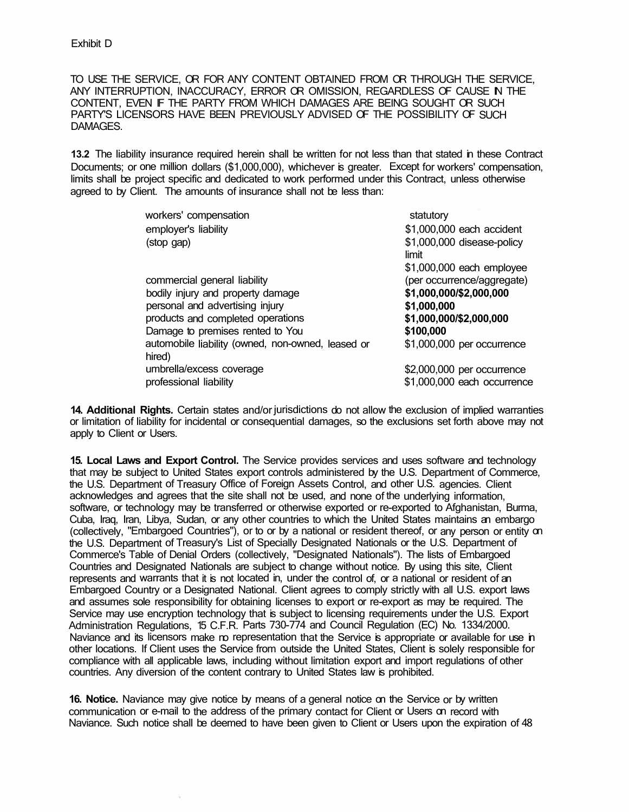TO USE THE SERVICE, OR FOR ANY CONTENT OBTAINED FROM OR THROUGH THE SERVICE, ANY INTERRUPTION, INACCURACY, ERROR OR OMISSION, REGARDLESS OF CAUSE N THE CONTENT, EVEN IF THE PARTY FROM WHICH DAMAGES ARE BEING SOUGHT OR SUCH PARTY'S LICENSORS HAVE BEEN PREVIOUSLY ADVISED OF THE POSSIBILITY OF SUCH DAMAGES.

**13.2** The liability insurance required herein shall be written for not less than that stated in these Contract Documents; or one million dollars (\$1,000,000), whichever is greater. Except for workers' compensation, limits shall be project specific and dedicated to work performed under this Contract, unless otherwise agreed to by Client. The amounts of insurance shall not be less than:

| workers' compensation                                       | statutory                                                 |
|-------------------------------------------------------------|-----------------------------------------------------------|
| employer's liability                                        | \$1,000,000 each accident                                 |
| (stop gap)                                                  | \$1,000,000 disease-policy<br>limit                       |
|                                                             | \$1,000,000 each employee                                 |
| commercial general liability                                | (per occurrence/aggregate)                                |
| bodily injury and property damage                           | \$1,000,000/\$2,000,000                                   |
| personal and advertising injury                             | \$1,000,000                                               |
| products and completed operations                           | \$1,000,000/\$2,000,000                                   |
| Damage to premises rented to You                            | \$100,000                                                 |
| automobile liability (owned, non-owned, leased or<br>hired) | \$1,000,000 per occurrence                                |
| umbrella/excess coverage<br>professional liability          | \$2,000,000 per occurrence<br>\$1,000,000 each occurrence |

**14. Additional Rights.** Certain states and/or jurisdictions do not allow the exclusion of implied warranties or limitation of liability for incidental or consequential damages, so the exclusions set forth above may not apply to Client or Users.

**15. Local Laws and Export Control.** The Service provides services and uses software and technology that may be subject to United States export controls administered by the U.S. Department of Commerce, the U.S. Department of Treasury Office of Foreign Assets Control, and other U.S. agencies. Client acknowledges and agrees that the site shall not be used, and none of the underlying information, software, or technology may be transferred or otherwise exported or re-exported to Afghanistan, Burma, Cuba, Iraq, Iran, Libya, Sudan, or any other countries to which the United States maintains an embargo (collectively, "Embargoed Countries"), or to or by a national or resident thereof, or any person or entity on the U.S. Department of Treasury's List of Specially Designated Nationals or the U.S. Department of Commerce's Table of Denial Orders (collectively, "Designated Nationals"). The lists of Embargoed Countries and Designated Nationals are subject to change without notice. By using this site, Client represents and warrants that it is not located in, under the control of, or a national or resident of an Embargoed Country or a Designated National. Client agrees to comply strictly with all U.S. export laws and assumes sole responsibility for obtaining licenses to export or re-export as may be required. The Service may use encryption technology that is subject to licensing requirements under the U.S. Export Administration Regulations, 15 C.F.R. Parts 730-774 and Council Regulation (EC) No. 1334/2000. Naviance and its licensors make no representation that the Service is appropriate or available for use in other locations. If Client uses the Service from outside the United States, Client is solely responsible for compliance with all applicable laws, including without limitation export and import regulations of other countries. Any diversion of the content contrary to United States law is prohibited.

**16. Notice.** Naviance may give notice by means of a general notice on the Service or by written communication or e-mail to the address of the primary contact for Client or Users on record with Naviance. Such notice shall be deemed to have been given to Client or Users upon the expiration of 48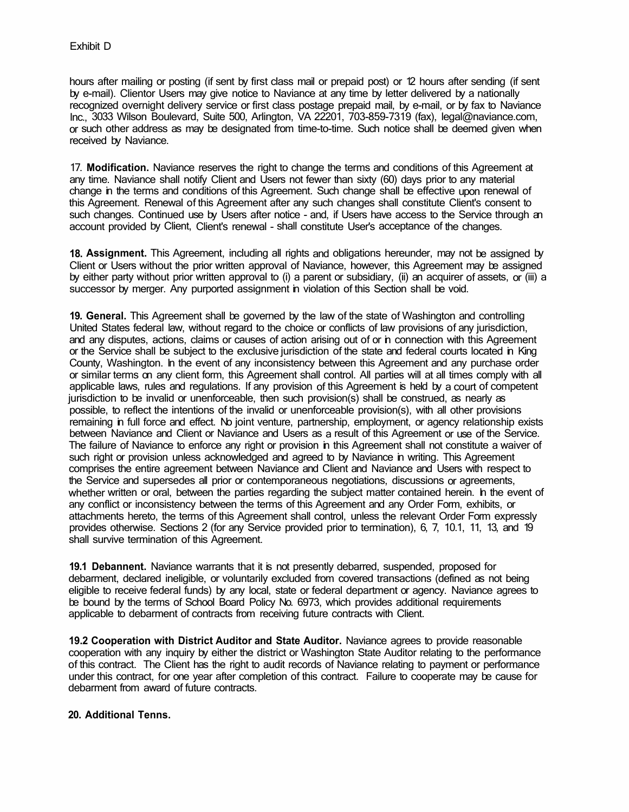hours after mailing or posting (if sent by first class mail or prepaid post) or 12 hours after sending (if sent by e-mail). Clientor Users may give notice to Naviance at any time by letter delivered by a nationally recognized overnight delivery service or first class postage prepaid mail, by e-mail, or by fax to Naviance Inc., 3033 Wilson Boulevard, Suite 500, Arlington, VA 22201, 703-859-7319 (fax), legal@naviance.com, or such other address as may be designated from time-to-time. Such notice shall be deemed given when received by Naviance.

17. **Modification.** Naviance reserves the right to change the terms and conditions of this Agreement at any time. Naviance shall notify Client and Users not fewer than sixty (60) days prior to any material change in the terms and conditions of this Agreement. Such change shall be effective upon renewal of this Agreement. Renewal of this Agreement after any such changes shall constitute Client's consent to such changes. Continued use by Users after notice - and, if Users have access to the Service through an account provided by Client, Client's renewal - shall constitute User's acceptance of the changes.

**18. Assignment.** This Agreement, including all rights and obligations hereunder, may not be assigned by Client or Users without the prior written approval of Naviance, however, this Agreement may be assigned by either party without prior written approval to (i) a parent or subsidiary, (ii) an acquirer of assets, or (iii) a successor by merger. Any purported assignment in violation of this Section shall be void.

**19. General.** This Agreement shall be governed by the law of the state of Washington and controlling United States federal law, without regard to the choice or conflicts of law provisions of any jurisdiction, and any disputes, actions, claims or causes of action arising out of or in connection with this Agreement or the Service shall be subject to the exclusive jurisdiction of the state and federal courts located in King County, Washington. In the event of any inconsistency between this Agreement and any purchase order or similar terms on any client form, this Agreement shall control. All parties will at all times comply with all applicable laws, rules and regulations. If any provision of this Agreement is held by a court of competent jurisdiction to be invalid or unenforceable, then such provision(s) shall be construed, as nearly as possible, to reflect the intentions of the invalid or unenforceable provision(s), with all other provisions remaining in full force and effect. No joint venture, partnership, employment, or agency relationship exists between Naviance and Client or Naviance and Users as a result of this Agreement or use of the Service. The failure of Naviance to enforce any right or provision in this Agreement shall not constitute a waiver of such right or provision unless acknowledged and agreed to by Naviance in writing. This Agreement comprises the entire agreement between Naviance and Client and Naviance and Users with respect to the Service and supersedes all prior or contemporaneous negotiations, discussions or agreements, whether written or oral, between the parties regarding the subject matter contained herein. In the event of any conflict or inconsistency between the terms of this Agreement and any Order Form, exhibits, or attachments hereto, the terms of this Agreement shall control, unless the relevant Order Form expressly provides otherwise. Sections 2 (for any Service provided prior to termination), 6, 7, 10.1, 11, 13, and 19 shall survive termination of this Agreement.

**19.1 Debannent.** Naviance warrants that it is not presently debarred, suspended, proposed for debarment, declared ineligible, or voluntarily excluded from covered transactions (defined as not being eligible to receive federal funds) by any local, state or federal department or agency. Naviance agrees to be bound by the terms of School Board Policy No. 6973, which provides additional requirements applicable to debarment of contracts from receiving future contracts with Client.

**19.2 Cooperation with District Auditor and State Auditor.** Naviance agrees to provide reasonable cooperation with any inquiry by either the district or Washington State Auditor relating to the performance of this contract. The Client has the right to audit records of Naviance relating to payment or performance under this contract, for one year after completion of this contract. Failure to cooperate may be cause for debarment from award of future contracts.

## **20. Additional Tenns.**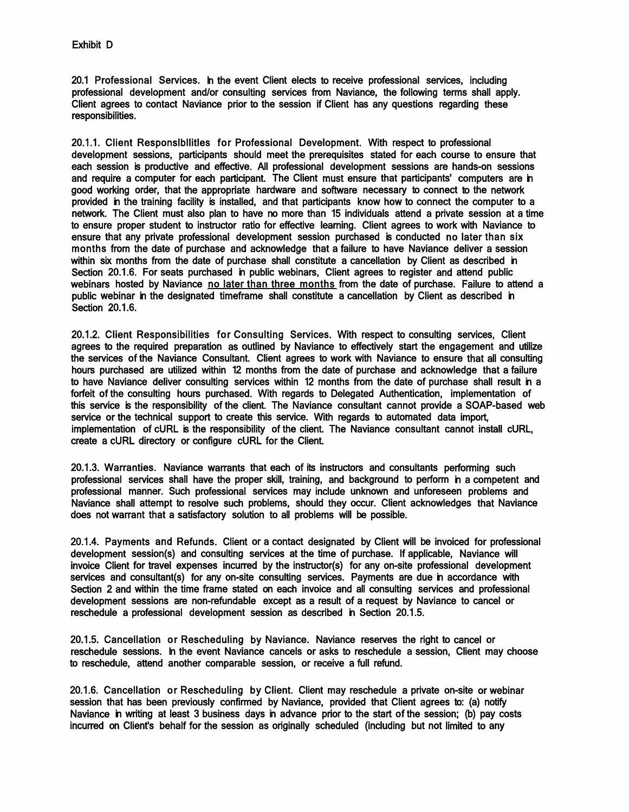20.1 Professional Services. In the event Client elects to receive professional services, including professional development and/or consulting services from Naviance, the following terms shall apply. Client agrees to contact Naviance prior to the session if Client has any questions regarding these responsibilities.

20.1.1. Client Responslbllitles for Professional Development. With respect to professional development sessions, participants should meet the prerequisites stated for each course to ensure that each session is productive and effective. All professional development sessions are hands-on sessions and require a computer for each participant. The Client must ensure that participants' computers are in good working order, that the appropriate hardware and software necessary to connect to the network provided in the training facility is installed, and that participants know how to connect the computer to a network. The Client must also plan to have no more than 15 individuals attend a private session at a time to ensure proper student to instructor ratio for effective learning. Client agrees to work with Naviance to ensure that any private professional development session purchased is conducted no later than six months from the date of purchase and acknowledge that a failure to have Naviance deliver a session within six months from the date of purchase shall constitute a cancellation by Client as described in Section 20.1.6. For seats purchased in public webinars, Client agrees to register and attend public webinars hosted by Naviance no later than three months from the date of purchase. Failure to attend a public webinar in the designated timeframe shall constitute a cancellation by Client as described in Section 20.1.6.

20.1.2. Client Responsibilities for Consulting Services. With respect to consulting services, Client agrees to the required preparation as outlined by Naviance to effectively start the engagement and utilize the services of the Naviance Consultant. Client agrees to work with Naviance to ensure that all consulting hours purchased are utilized within 12 months from the date of purchase and acknowledge that a failure to have Naviance deliver consulting services within 12 months from the date of purchase shall result in a forfeit of the consulting hours purchased. With regards to Delegated Authentication, implementation of this service is the responsibility of the client. The Naviance consultant cannot provide a SOAP-based web service or the technical support to create this service. With regards to automated data import, implementation of cURL is the responsibility of the client. The Naviance consultant cannot install cURL, create a cURL directory or configure cURL for the Client.

20.1.3. Warranties. Naviance warrants that each of its instructors and consultants performing such professional services shall have the proper skill, training, and background to perform in a competent and professional manner. Such professional services may include unknown and unforeseen problems and Naviance shall attempt to resolve such problems, should they occur. Client acknowledges that Naviance does not warrant that a satisfactory solution to all problems will be possible.

20.1.4. Payments and Refunds. Client or a contact designated by Client will be invoiced for professional development session(s) and consulting services at the time of purchase. If applicable, Naviance will invoice Client for travel expenses incurred by the instructor(s) for any on-site professional development services and consultant(s) for any on-site consulting services. Payments are due in accordance with Section 2 and within the time frame stated on each invoice and all consulting services and professional development sessions are non-refundable except as a result of a request by Naviance to cancel or reschedule a professional development session as described in Section 20.1.5.

20.1.5. Cancellation or Rescheduling by Naviance. Naviance reserves the right to cancel or reschedule sessions. In the event Naviance cancels or asks to reschedule a session, Client may choose to reschedule, attend another comparable session, or receive a full refund.

20.1.6. Cancellation or Rescheduling by Client. Client may reschedule a private on-site or webinar session that has been previously confirmed by Naviance, provided that Client agrees to: (a) notify Naviance in writing at least 3 business days in advance prior to the start of the session; (b) pay costs incurred on Client's behalf for the session as originally scheduled (including but not limited to any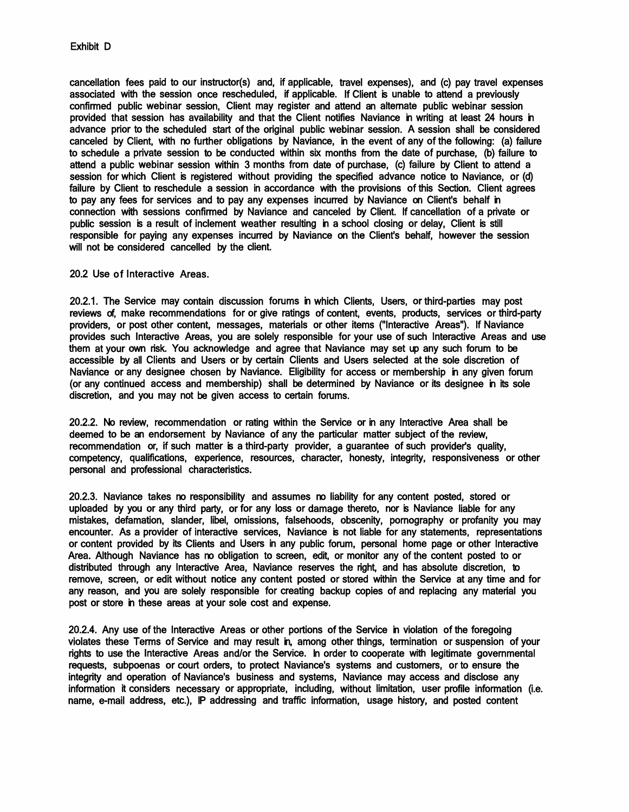cancellation fees paid to our instructor(s) and, if applicable, travel expenses), and (c) pay travel expenses associated with the session once rescheduled, if applicable. If Client is unable to attend a previously confirmed public webinar session, Client may register and attend an alternate public webinar session provided that session has availability and that the Client notifies Naviance in writing at least 24 hours in advance prior to the scheduled start of the original public webinar session. A session shall be considered canceled by Client, with no further obligations by Naviance, in the event of any of the following: (a) failure to schedule a private session to be conducted within six months from the date of purchase, (b) failure to attend a public webinar session within 3 months from date of purchase, (c) failure by Client to attend a session for which Client is registered without providing the specified advance notice to Naviance, or (d) failure by Client to reschedule a session in accordance with the provisions of this Section. Client agrees to pay any fees for services and to pay any expenses incurred by Naviance on Client's behalf in connection with sessions confirmed by Naviance and canceled by Client. If cancellation of a private or public session is a result of inclement weather resulting in a school closing or delay, Client is still responsible for paying any expenses incurred by Naviance on the Client's behalf, however the session will not be considered cancelled by the client.

20.2 Use of Interactive Areas.

20.2.1. The Service may contain discussion forums in which Clients, Users, or third-parties may post reviews of, make recommendations for or give ratings of content, events, products, services or third-party providers, or post other content, messages, materials or other items ("Interactive Areas"). If Naviance provides such Interactive Areas, you are solely responsible for your use of such Interactive Areas and use them at your own risk. You acknowledge and agree that Naviance may set up any such forum to be accessible by all Clients and Users or by certain Clients and Users selected at the sole discretion of Naviance or any designee chosen by Naviance. Eligibility for access or membership in any given forum (or any continued access and membership) shall be determined by Naviance or its designee in its sole discretion, and you may not be given access to certain forums.

20.2.2. No review, recommendation or rating within the Service or in any Interactive Area shall be deemed to be an endorsement by Naviance of any the particular matter subject of the review, recommendation or, if such matter is a third-party provider, a guarantee of such provider's quality, competency, qualifications, experience, resources, character, honesty, integrity, responsiveness or other personal and professional characteristics.

20.2.3. Naviance takes no responsibility and assumes no liability for any content posted, stored or uploaded by you or any third party, or for any loss or damage thereto, nor is Naviance liable for any mistakes, defamation, slander, libel, omissions, falsehoods, obscenity, pornography or profanity you may encounter. As a provider of interactive services, Naviance is not liable for any statements, representations or content provided by its Clients and Users in any public forum, personal home page or other Interactive Area. Although Naviance has no obligation to screen, edit, or monitor any of the content posted to or distributed through any Interactive Area, Naviance reserves the right, and has absolute discretion, to remove, screen, or edit without notice any content posted or stored within the Service at any time and for any reason, and you are solely responsible for creating backup copies of and replacing any material you post or store in these areas at your sole cost and expense.

20.2.4. Any use of the Interactive Areas or other portions of the Service in violation of the foregoing violates these Terms of Service and may result in, among other things, termination or suspension of your rights to use the Interactive Areas and/or the Service. In order to cooperate with legitimate governmental requests, subpoenas or court orders, to protect Naviance's systems and customers, or to ensure the integrity and operation of Naviance's business and systems, Naviance may access and disclose any information it considers necessary or appropriate, including, without limitation, user profile information (i.e. name, e-mail address, etc.), IP addressing and traffic information, usage history, and posted content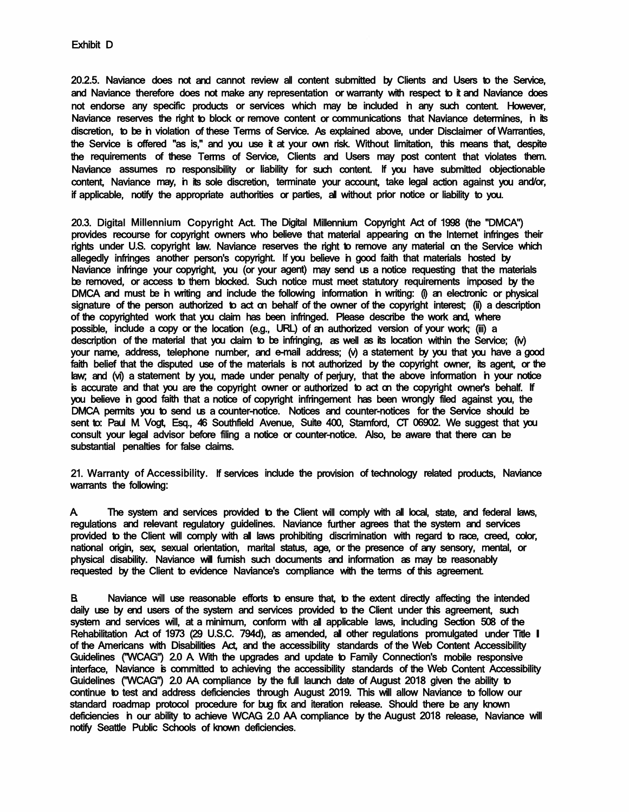20.2.5. Naviance does not and cannot review all content submitted by Clients and Users to the Service, and Naviance therefore does not make any representation or warranty with respect to it and Naviance does not endorse any specific products or services which may be included in any such content. However, Naviance reserves the right to block or remove content or communications that Naviance determines, in its discretion, to be in violation of these Terms of Service. As explained above, under Disclaimer of Warranties, the Service is offered "as is," and you use it at your own risk. Without limitation, this means that, despite the requirements of these Terms of Service, Clients and Users may post content that violates them. Naviance assumes no responsibility or liability for such content. If you have submitted objectionable content, Naviance may, in its sole discretion, terminate your account, take legal action against you and/or, if applicable, notify the appropriate authorities or parties, all without prior notice or liability to you.

20.3. Digital Millennium Copyright Act. The Digital Millennium Copyright Act of 1998 (the "DMCA") provides recourse for copyright owners who believe that material appearing on the Internet infringes their rights under U.S. copyright law. Naviance reserves the right to remove any material on the Service which allegedly infringes another person's copyright. If you believe in good faith that materials hosted by Naviance infringe your copyright, you (or your agent) may send us a notice requesting that the materials be removed, or access to them blocked. Such notice must meet statutory requirements imposed by the DMCA and must be in writing and include the following information in writing: (i) an electronic or physical signature of the person authorized to act on behalf of the owner of the copyright interest; (ii) a description of the copyrighted work that you claim has been infringed. Please describe the work and, where possible, include a copy or the location (e.g., URL) of an authorized version of your work; (iii) a description of the material that you claim to be infringing, as well as its location within the Service; (iv) your name, address, telephone number, and e-mail address; (v) a statement by you that you have a good faith belief that the disputed use of the materials is not authorized by the copyright owner, its agent, or the law; and (vi) a statement by you, made under penalty of perjury, that the above information in your notice is accurate and that you are the copyright owner or authorized to act on the copyright owner's behalf. If you believe in good faith that a notice of copyright infringement has been wrongly filed against you, the DMCA permits you to send us a counter-notice. Notices and counter-notices for the Service should be sent to: Paul M. Vogt, Esq., 46 Southfield Avenue, Suite 400, Stamford, CT 06902. We suggest that you consult your legal advisor before filing a notice or counter-notice. Also, be aware that there can be substantial penalties for false claims.

21. Warranty of Accessibility. If services include the provision of technology related products, Naviance warrants the following:

A. The system and services provided to the Client will comply with all local, state, and federal laws, regulations and relevant regulatory guidelines. Naviance further agrees that the system and services provided to the Client will comply with all laws prohibiting discrimination with regard to race, creed, color, national origin, sex, sexual orientation, marital status, age, or the presence of any sensory, mental, or physical disability. Naviance will furnish such documents and information as may be reasonably requested by the Client to evidence Naviance's compliance with the terms of this agreement.

B. Naviance will use reasonable efforts to ensure that, to the extent directly affecting the intended daily use by end users of the system and services provided to the Client under this agreement, such system and services will, at a minimum, conform with all applicable laws, including Section 508 of the Rehabilitation Act of 1973 (29 U.S.C. 794d), as amended, all other regulations promulgated under Title I of the Americans with Disabilities Act, and the accessibility standards of the Web Content Accessibility Guidelines ("WCAG") 2.0 A. With the upgrades and update to Family Connection's mobile responsive interface, Naviance is committed to achieving the accessibility standards of the Web Content Accessibility Guidelines ("WCAG") 2.0 AA compliance by the full launch date of August 2018 given the ability to continue to test and address deficiencies through August 2019. This will allow Naviance to follow our standard roadmap protocol procedure for bug fix and iteration release. Should there be any known deficiencies in our ability to achieve WCAG 2.0 AA compliance by the August 2018 release, Naviance will notify Seattle Public Schools of known deficiencies.